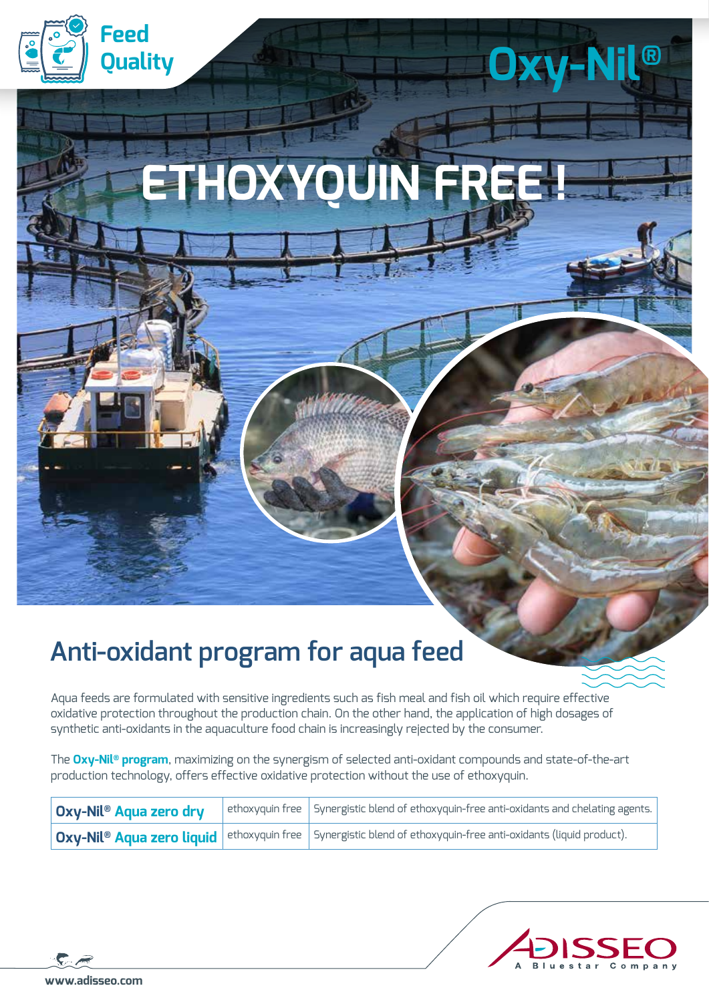

# **ETHOXYOU**

**Oxy-Nil®**

## **Anti-oxidant program for aqua feed**

Aqua feeds are formulated with sensitive ingredients such as fish meal and fish oil which require effective oxidative protection throughout the production chain. On the other hand, the application of high dosages of synthetic anti-oxidants in the aquaculture food chain is increasingly rejected by the consumer.

The **Oxy-Nil® program**, maximizing on the synergism of selected anti-oxidant compounds and state-of-the-art production technology, offers effective oxidative protection without the use of ethoxyquin.

| Oxy-Nil® Aqua zero dry | $\vert$ ethoxyquin free $\vert$ Synergistic blend of ethoxyquin-free anti-oxidants and chelating agents.                            |
|------------------------|-------------------------------------------------------------------------------------------------------------------------------------|
|                        | $\mid$ Oxy-Nil® Aqua zero liquid $\mid$ ethoxyquin free $\mid$ Synergistic blend of ethoxyquin-free anti-oxidants (liquid product). |

$$
\mathcal{L} \mathcal{Z}
$$